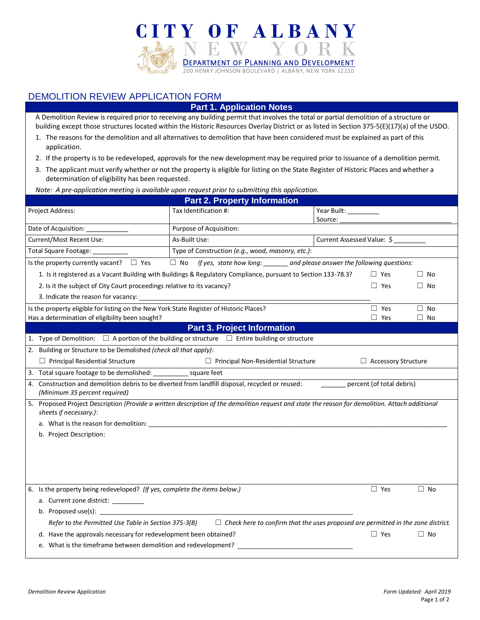

## DEMOLITION REVIEW APPLICATION FORM

## **Part 1. Application Notes**

A Demolition Review is required prior to receiving any building permit that involves the total or partial demolition of a structure or building except those structures located within the Historic Resources Overlay District or as listed in Section 375-5(E)(17)(a) of the USDO.

- 1. The reasons for the demolition and all alternatives to demolition that have been considered must be explained as part of this application.
- 2. If the property is to be redeveloped, approvals for the new development may be required prior to issuance of a demolition permit.
- 3. The applicant must verify whether or not the property is eligible for listing on the State Register of Historic Places and whether a determination of eligibility has been requested.

*Note: A pre-application meeting is available upon request prior to submitting this application.*

| <b>Part 2. Property Information</b>                                                                                                                                                                                                                           |                                                   |                            |                            |           |  |  |
|---------------------------------------------------------------------------------------------------------------------------------------------------------------------------------------------------------------------------------------------------------------|---------------------------------------------------|----------------------------|----------------------------|-----------|--|--|
| Project Address:                                                                                                                                                                                                                                              | Tax Identification #:                             | Year Built: _______        |                            |           |  |  |
|                                                                                                                                                                                                                                                               |                                                   | Source:                    |                            |           |  |  |
| Date of Acquisition: ____________                                                                                                                                                                                                                             | Purpose of Acquisition:                           |                            |                            |           |  |  |
| <b>Current/Most Recent Use:</b>                                                                                                                                                                                                                               | As-Built Use:                                     | Current Assessed Value: \$ |                            |           |  |  |
| Total Square Footage: ___                                                                                                                                                                                                                                     | Type of Construction (e.g., wood, masonry, etc.): |                            |                            |           |  |  |
| $\Box$ No If yes, state how long: ______ and please answer the following questions:<br>Is the property currently vacant? $\Box$ Yes                                                                                                                           |                                                   |                            |                            |           |  |  |
| 1. Is it registered as a Vacant Building with Buildings & Regulatory Compliance, pursuant to Section 133-78.3?<br>$\Box$ Yes<br>$\Box$ No                                                                                                                     |                                                   |                            |                            |           |  |  |
| 2. Is it the subject of City Court proceedings relative to its vacancy?                                                                                                                                                                                       |                                                   |                            |                            | $\Box$ No |  |  |
| 3. Indicate the reason for vacancy:                                                                                                                                                                                                                           |                                                   |                            |                            |           |  |  |
| Is the property eligible for listing on the New York State Register of Historic Places?                                                                                                                                                                       |                                                   |                            | $\Box$ Yes                 | $\Box$ No |  |  |
| Has a determination of eligibility been sought?                                                                                                                                                                                                               |                                                   |                            | $\Box$ Yes                 | $\Box$ No |  |  |
|                                                                                                                                                                                                                                                               | <b>Part 3. Project Information</b>                |                            |                            |           |  |  |
| 1. Type of Demolition: $\Box$ A portion of the building or structure $\Box$ Entire building or structure                                                                                                                                                      |                                                   |                            |                            |           |  |  |
| 2. Building or Structure to be Demolished (check all that apply):                                                                                                                                                                                             |                                                   |                            |                            |           |  |  |
| $\Box$ Principal Residential Structure                                                                                                                                                                                                                        | $\Box$ Principal Non-Residential Structure        |                            | $\Box$ Accessory Structure |           |  |  |
|                                                                                                                                                                                                                                                               |                                                   |                            |                            |           |  |  |
| 4. Construction and demolition debris to be diverted from landfill disposal, recycled or reused:<br>percent (of total debris)<br>(Minimum 35 percent required)                                                                                                |                                                   |                            |                            |           |  |  |
| 5. Proposed Project Description (Provide a written description of the demolition request and state the reason for demolition. Attach additional<br>sheets if necessary.):                                                                                     |                                                   |                            |                            |           |  |  |
|                                                                                                                                                                                                                                                               |                                                   |                            |                            |           |  |  |
| b. Project Description:                                                                                                                                                                                                                                       |                                                   |                            |                            |           |  |  |
|                                                                                                                                                                                                                                                               |                                                   |                            |                            |           |  |  |
|                                                                                                                                                                                                                                                               |                                                   |                            |                            |           |  |  |
|                                                                                                                                                                                                                                                               |                                                   |                            |                            |           |  |  |
| 6. Is the property being redeveloped? (If yes, complete the items below.)                                                                                                                                                                                     |                                                   |                            | $\Box$ Yes                 | $\Box$ No |  |  |
| a. Current zone district: _________                                                                                                                                                                                                                           |                                                   |                            |                            |           |  |  |
| b. Proposed use(s): $\frac{1}{2}$ Proposed use(s): $\frac{1}{2}$ Proposed use(s): $\frac{1}{2}$ Proposed use(s): $\frac{1}{2}$ Proposed use(s): $\frac{1}{2}$ Proposed use(s): $\frac{1}{2}$ Proposed use(s): $\frac{1}{2}$ Proposed use(s): $\frac{1}{2}$ Pr |                                                   |                            |                            |           |  |  |
| Refer to the Permitted Use Table in Section 375-3(B) $\square$ Check here to confirm that the uses proposed are permitted in the zone district.                                                                                                               |                                                   |                            |                            |           |  |  |
|                                                                                                                                                                                                                                                               |                                                   |                            | $\Box$ Yes                 | $\Box$ No |  |  |
| d. Have the approvals necessary for redevelopment been obtained?<br>e. What is the timeframe between demolition and redevelopment?                                                                                                                            |                                                   |                            |                            |           |  |  |
|                                                                                                                                                                                                                                                               |                                                   |                            |                            |           |  |  |